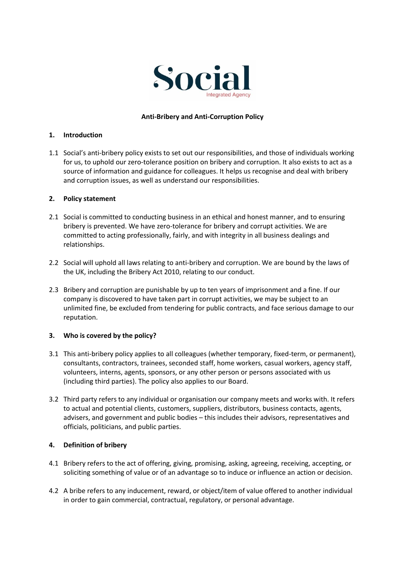

# **Anti-Bribery and Anti-Corruption Policy**

### **1. Introduction**

1.1 Social's anti-bribery policy exists to set out our responsibilities, and those of individuals working for us, to uphold our zero-tolerance position on bribery and corruption. It also exists to act as a source of information and guidance for colleagues. It helps us recognise and deal with bribery and corruption issues, as well as understand our responsibilities.

#### **2. Policy statement**

- 2.1 Social is committed to conducting business in an ethical and honest manner, and to ensuring bribery is prevented. We have zero-tolerance for bribery and corrupt activities. We are committed to acting professionally, fairly, and with integrity in all business dealings and relationships.
- 2.2 Social will uphold all laws relating to anti-bribery and corruption. We are bound by the laws of the UK, including the Bribery Act 2010, relating to our conduct.
- 2.3 Bribery and corruption are punishable by up to ten years of imprisonment and a fine. If our company is discovered to have taken part in corrupt activities, we may be subject to an unlimited fine, be excluded from tendering for public contracts, and face serious damage to our reputation.

# **3. Who is covered by the policy?**

- 3.1 This anti-bribery policy applies to all colleagues (whether temporary, fixed-term, or permanent), consultants, contractors, trainees, seconded staff, home workers, casual workers, agency staff, volunteers, interns, agents, sponsors, or any other person or persons associated with us (including third parties). The policy also applies to our Board.
- 3.2 Third party refers to any individual or organisation our company meets and works with. It refers to actual and potential clients, customers, suppliers, distributors, business contacts, agents, advisers, and government and public bodies – this includes their advisors, representatives and officials, politicians, and public parties.

# **4. Definition of bribery**

- 4.1 Bribery refers to the act of offering, giving, promising, asking, agreeing, receiving, accepting, or soliciting something of value or of an advantage so to induce or influence an action or decision.
- 4.2 A bribe refers to any inducement, reward, or object/item of value offered to another individual in order to gain commercial, contractual, regulatory, or personal advantage.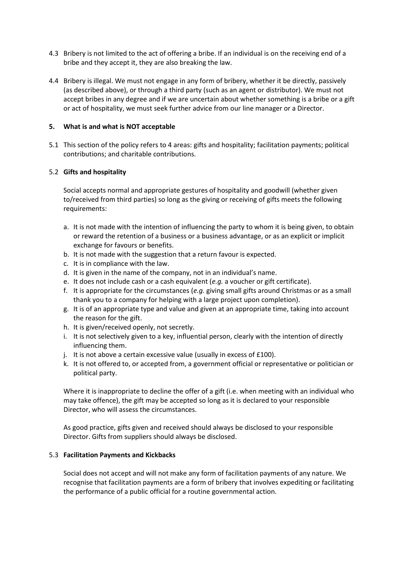- 4.3 Bribery is not limited to the act of offering a bribe. If an individual is on the receiving end of a bribe and they accept it, they are also breaking the law.
- 4.4 Bribery is illegal. We must not engage in any form of bribery, whether it be directly, passively (as described above), or through a third party (such as an agent or distributor). We must not accept bribes in any degree and if we are uncertain about whether something is a bribe or a gift or act of hospitality, we must seek further advice from our line manager or a Director.

# **5. What is and what is NOT acceptable**

5.1 This section of the policy refers to 4 areas: gifts and hospitality; facilitation payments; political contributions; and charitable contributions.

# 5.2 **Gifts and hospitality**

Social accepts normal and appropriate gestures of hospitality and goodwill (whether given to/received from third parties) so long as the giving or receiving of gifts meets the following requirements:

- a. It is not made with the intention of influencing the party to whom it is being given, to obtain or reward the retention of a business or a business advantage, or as an explicit or implicit exchange for favours or benefits.
- b. It is not made with the suggestion that a return favour is expected.
- c. It is in compliance with the law.
- d. It is given in the name of the company, not in an individual's name.
- e. It does not include cash or a cash equivalent (*e.g.* a voucher or gift certificate).
- f. It is appropriate for the circumstances (*e.g.* giving small gifts around Christmas or as a small thank you to a company for helping with a large project upon completion).
- g. It is of an appropriate type and value and given at an appropriate time, taking into account the reason for the gift.
- h. It is given/received openly, not secretly.
- i. It is not selectively given to a key, influential person, clearly with the intention of directly influencing them.
- j. It is not above a certain excessive value (usually in excess of £100).
- k. It is not offered to, or accepted from, a government official or representative or politician or political party.

Where it is inappropriate to decline the offer of a gift (i.e. when meeting with an individual who may take offence), the gift may be accepted so long as it is declared to your responsible Director, who will assess the circumstances.

As good practice, gifts given and received should always be disclosed to your responsible Director. Gifts from suppliers should always be disclosed.

# 5.3 **Facilitation Payments and Kickbacks**

Social does not accept and will not make any form of facilitation payments of any nature. We recognise that facilitation payments are a form of bribery that involves expediting or facilitating the performance of a public official for a routine governmental action.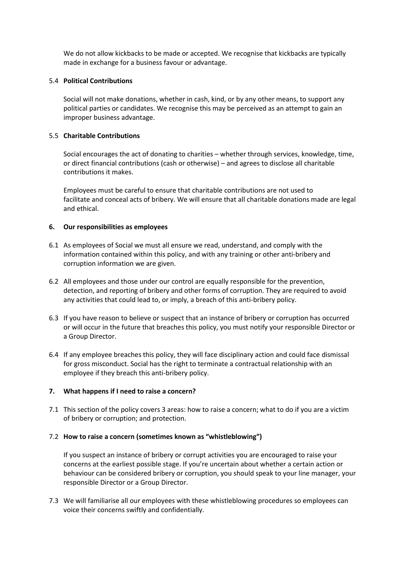We do not allow kickbacks to be made or accepted. We recognise that kickbacks are typically made in exchange for a business favour or advantage.

### 5.4 **Political Contributions**

Social will not make donations, whether in cash, kind, or by any other means, to support any political parties or candidates. We recognise this may be perceived as an attempt to gain an improper business advantage.

### 5.5 **Charitable Contributions**

Social encourages the act of donating to charities – whether through services, knowledge, time, or direct financial contributions (cash or otherwise) – and agrees to disclose all charitable contributions it makes.

Employees must be careful to ensure that charitable contributions are not used to facilitate and conceal acts of bribery. We will ensure that all charitable donations made are legal and ethical.

#### **6. Our responsibilities as employees**

- 6.1 As employees of Social we must all ensure we read, understand, and comply with the information contained within this policy, and with any training or other anti-bribery and corruption information we are given.
- 6.2 All employees and those under our control are equally responsible for the prevention, detection, and reporting of bribery and other forms of corruption. They are required to avoid any activities that could lead to, or imply, a breach of this anti-bribery policy.
- 6.3 If you have reason to believe or suspect that an instance of bribery or corruption has occurred or will occur in the future that breaches this policy, you must notify your responsible Director or a Group Director.
- 6.4 If any employee breaches this policy, they will face disciplinary action and could face dismissal for gross misconduct. Social has the right to terminate a contractual relationship with an employee if they breach this anti-bribery policy.

# **7. What happens if I need to raise a concern?**

7.1 This section of the policy covers 3 areas: how to raise a concern; what to do if you are a victim of bribery or corruption; and protection.

#### 7.2 **How to raise a concern (sometimes known as "whistleblowing")**

If you suspect an instance of bribery or corrupt activities you are encouraged to raise your concerns at the earliest possible stage. If you're uncertain about whether a certain action or behaviour can be considered bribery or corruption, you should speak to your line manager, your responsible Director or a Group Director.

7.3 We will familiarise all our employees with these whistleblowing procedures so employees can voice their concerns swiftly and confidentially.